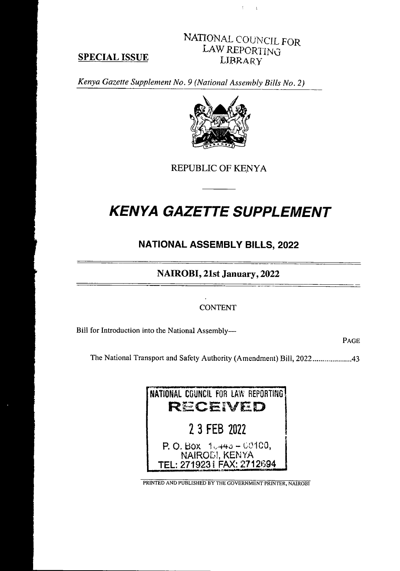#### SPECIAL ISSUE

## NATIONAL COUNCIL FOR l aw REPORTING LIBRARY

 $\bar{\Omega}$  $\mathcal{A}$ 

Kenya Gazette Supplement No. 9 (National Assembly Bills No. 2)



REPUBLIC OF KENYA

# **KENYA GAZETTE SUPPLEMENT**

NATIONAL ASSEMBLY BILLS, 2022

#### NAIROBI, 21st January, 2022

#### **CONTENT**

Bill for Introduction into the National Assembly—

PAGE

The National Transport and Safety Authority (Amendment) Bill, 2022...................43



PRINTED AND PUBLISHED BY THE GOVERNMENT PRINTER, NAIROBI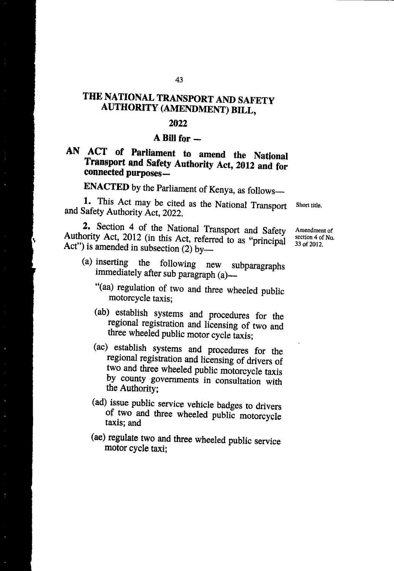#### 2022

#### $\bf A$  Bill for  $\bf -$

#### AN ACT of Parliament to amend the National Transport and Safety Authority Act, 2012 and for connected purposes—

ENACTED by the Parliament of Kenya, as follows—

**1.** This Act may be cited as the National Transport Short title.<br>Safety Authority Act 2022 and Safety Authority Act, 2022.

2. Section 4 of the National Transport and Safety Authority Act, 2012 (in this Act, referred to as "principal Act") is amended in subsection  $(2)$  by—

A mendment of section 4 of No. 33 of 2012,

- (a) inserting the following immediately after sub paragraph (a) subparagraphs following new
	- "(aa) regulation of two and three wheeled public motorcycle taxis;
	- (ab) establish systems and procedures for the regional registration and licensing of two and three wheeled public motor cycle taxis;
	- (ac) establish systems and procedures for the regional registration and licensing of drivers of two and three wheeled public motorcycle taxis by county governments in consultation with the Authority:
	- (ad) issue public service vehicle badges to drivers of two and three wheeled public motorcycle taxis; and
	- (ae) regulate two and three wheeled public service motor cycle taxi;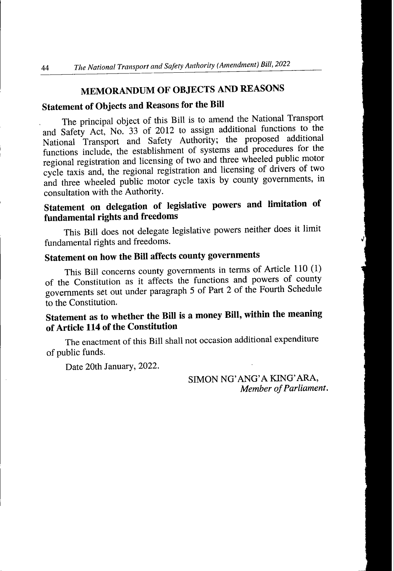## MEMORANDUM OF OBJECTSAND REASONS

# Statement of Objects and Reasons for the Bill

The principal object of this Bill is to amend the National Transport  $\tilde{\mathbf{r}}$ and Safety Act, No. 33 of 2012 to assign additional functions to the National Transport and Safety Authority; the proposed additional functions include, the establishment of systems and procedures for the regional registration and licensing of two and three wheeled public motor<br>regional registration and licensing of drivers of two cycle taxis and, the regional registration and licensing of drivers of two<br>county governments in and three wheeled public motor cycle taxis by county governments, in consultation with the Authority.

#### Statement on delegation of legislative powers and limitation of fundamental rights and freedoms

This Bill does not delegate legislative powers neither does it limit fundamental rights and freedoms.

# Statement on how the Bill affects county governments

This Bill concerns county governments in terms of Article 110 (1) of the Constitution as it affects the functions and powers of county governments set out under paragraph 5 of Part 2 of the Fourth Schedule to the Constitution.

## Statement as to whether the Bill is a money Bill, within the meaning of Article 114 of the Constitution

The enactment of this Bill shall not occasion additional expenditure of public funds.

Date 20th January, 2022.

SIMON NG'ANG'A KING'ARA, Member of Parliament.